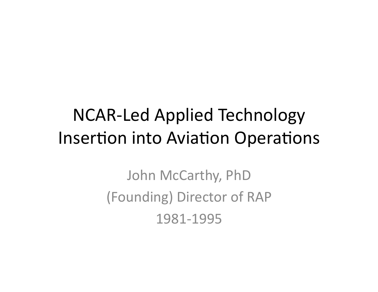## NCAR-Led Applied Technology Insertion into Aviation Operations

John McCarthy, PhD (Founding) Director of RAP 1981-1995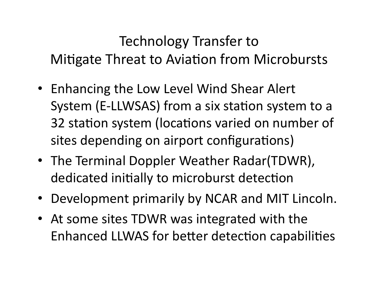#### Technology Transfer to Mitigate Threat to Aviation from Microbursts

- Enhancing the Low Level Wind Shear Alert System (E-LLWSAS) from a six station system to a 32 station system (locations varied on number of sites depending on airport configurations)
- The Terminal Doppler Weather Radar(TDWR), dedicated initially to microburst detection
- Development primarily by NCAR and MIT Lincoln.
- At some sites TDWR was integrated with the Enhanced LLWAS for better detection capabilities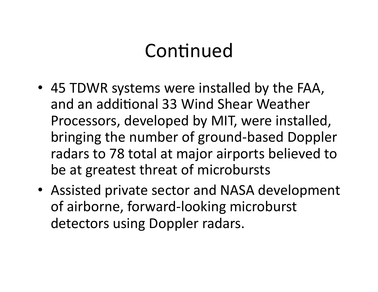# Continued

- 45 TDWR systems were installed by the FAA, and an additional 33 Wind Shear Weather Processors, developed by MIT, were installed, bringing the number of ground-based Doppler radars to 78 total at major airports believed to be at greatest threat of microbursts
- Assisted private sector and NASA development of airborne, forward-looking microburst detectors using Doppler radars.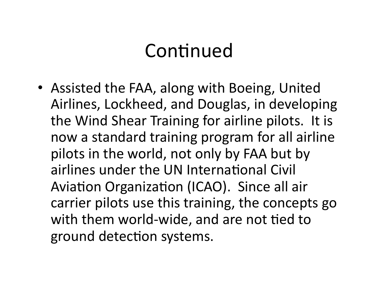# Continued

• Assisted the FAA, along with Boeing, United Airlines, Lockheed, and Douglas, in developing the Wind Shear Training for airline pilots. It is now a standard training program for all airline pilots in the world, not only by FAA but by airlines under the UN International Civil Aviation Organization (ICAO). Since all air carrier pilots use this training, the concepts go with them world-wide, and are not tied to ground detection systems.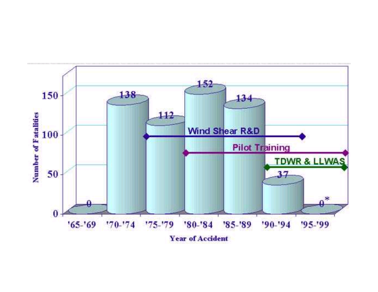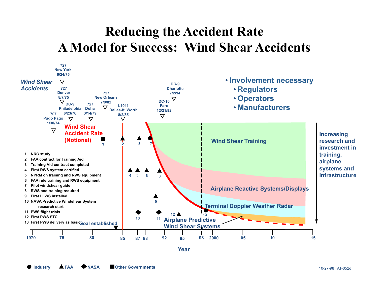#### **Reducing the Accident Rate A Model for Success: Wind Shear Accidents**



**Year**